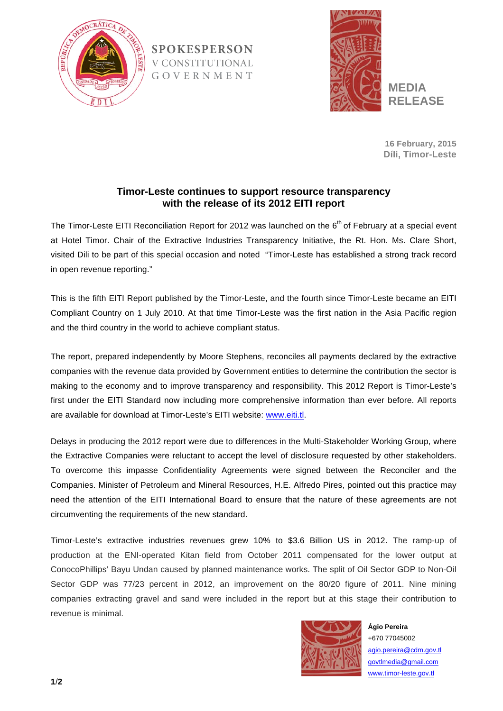

**SPOKESPERSON V CONSTITUTIONAL** GOVERNMENT



**16 February, 2015 Díli, Timor-Leste**

## **Timor-Leste continues to support resource transparency with the release of its 2012 EITI report**

The Timor-Leste EITI Reconciliation Report for 2012 was launched on the 6<sup>th</sup> of February at a special event at Hotel Timor. Chair of the Extractive Industries Transparency Initiative, the Rt. Hon. Ms. Clare Short, visited Dili to be part of this special occasion and noted "Timor-Leste has established a strong track record in open revenue reporting."

This is the fifth EITI Report published by the Timor-Leste, and the fourth since Timor-Leste became an EITI Compliant Country on 1 July 2010. At that time Timor-Leste was the first nation in the Asia Pacific region and the third country in the world to achieve compliant status.

The report, prepared independently by Moore Stephens, reconciles all payments declared by the extractive companies with the revenue data provided by Government entities to determine the contribution the sector is making to the economy and to improve transparency and responsibility. This 2012 Report is Timor-Leste's first under the EITI Standard now including more comprehensive information than ever before. All reports are available for download at Timor-Leste's EITI website: www.eiti.tl.

Delays in producing the 2012 report were due to differences in the Multi-Stakeholder Working Group, where the Extractive Companies were reluctant to accept the level of disclosure requested by other stakeholders. To overcome this impasse Confidentiality Agreements were signed between the Reconciler and the Companies. Minister of Petroleum and Mineral Resources, H.E. Alfredo Pires, pointed out this practice may need the attention of the EITI International Board to ensure that the nature of these agreements are not circumventing the requirements of the new standard.

Timor-Leste's extractive industries revenues grew 10% to \$3.6 Billion US in 2012. The ramp-up of production at the ENI-operated Kitan field from October 2011 compensated for the lower output at ConocoPhillips' Bayu Undan caused by planned maintenance works. The split of Oil Sector GDP to Non-Oil Sector GDP was 77/23 percent in 2012, an improvement on the 80/20 figure of 2011. Nine mining companies extracting gravel and sand were included in the report but at this stage their contribution to revenue is minimal.



**Ágio Pereira** +670 77045002 agio.pereira@cdm.gov.tl govtlmedia@gmail.com www.timor-leste.gov.tl